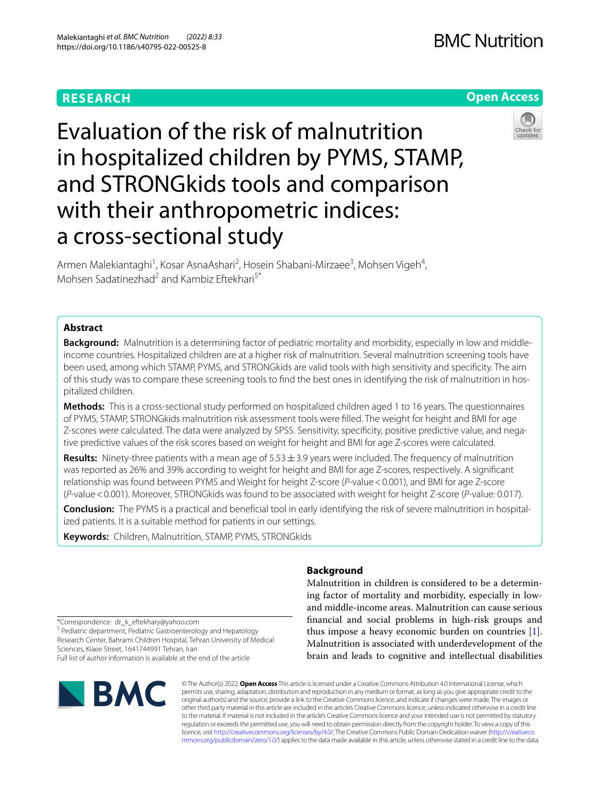# **RESEARCH**





Evaluation of the risk of malnutrition in hospitalized children by PYMS, STAMP, and STRONGkids tools and comparison with their anthropometric indices: a cross-sectional study

Armen Malekiantaghi<sup>1</sup>, Kosar AsnaAshari<sup>2</sup>, Hosein Shabani-Mirzaee<sup>3</sup>, Mohsen Vigeh<sup>4</sup>, Mohsen Sadatinezhad<sup>2</sup> and Kambiz Eftekhari<sup>5\*</sup>

# **Abstract**

**Background:** Malnutrition is a determining factor of pediatric mortality and morbidity, especially in low and middleincome countries. Hospitalized children are at a higher risk of malnutrition. Several malnutrition screening tools have been used, among which STAMP, PYMS, and STRONGkids are valid tools with high sensitivity and specifcity. The aim of this study was to compare these screening tools to find the best ones in identifying the risk of malnutrition in hospitalized children.

**Methods:** This is a cross-sectional study performed on hospitalized children aged 1 to 16 years. The questionnaires of PYMS, STAMP, STRONGkids malnutrition risk assessment tools were flled. The weight for height and BMI for age Z-scores were calculated. The data were analyzed by SPSS. Sensitivity, specificity, positive predictive value, and negative predictive values of the risk scores based on weight for height and BMI for age Z-scores were calculated.

**Results:** Ninety-three patients with a mean age of 5.53  $\pm$  3.9 years were included. The frequency of malnutrition was reported as 26% and 39% according to weight for height and BMI for age Z-scores, respectively. A signifcant relationship was found between PYMS and Weight for height Z-score (*P*-value<0.001), and BMI for age Z-score (*P*-value<0.001). Moreover, STRONGkids was found to be associated with weight for height Z-score (*P*-value: 0.017).

**Conclusion:** The PYMS is a practical and beneficial tool in early identifying the risk of severe malnutrition in hospitalized patients. It is a suitable method for patients in our settings.

**Keywords:** Children, Malnutrition, STAMP, PYMS, STRONGkids

# **Background**

Malnutrition in children is considered to be a determining factor of mortality and morbidity, especially in lowand middle-income areas. Malnutrition can cause serious fnancial and social problems in high-risk groups and thus impose a heavy economic burden on countries [\[1](#page-5-0)]. Malnutrition is associated with underdevelopment of the brain and leads to cognitive and intellectual disabilities

\*Correspondence: dr\_k\_eftekhary@yahoo.com

<sup>5</sup> Pediatric department, Pediatric Gastroenterology and Hepatology Research Center, Bahrami Children Hospital, Tehran University of Medical Sciences, Kiaee Street, 1641744991 Tehran, Iran

Full list of author information is available at the end of the article



© The Author(s) 2022. **Open Access** This article is licensed under a Creative Commons Attribution 4.0 International License, which permits use, sharing, adaptation, distribution and reproduction in any medium or format, as long as you give appropriate credit to the original author(s) and the source, provide a link to the Creative Commons licence, and indicate if changes were made. The images or other third party material in this article are included in the article's Creative Commons licence, unless indicated otherwise in a credit line to the material. If material is not included in the article's Creative Commons licence and your intended use is not permitted by statutory regulation or exceeds the permitted use, you will need to obtain permission directly from the copyright holder. To view a copy of this licence, visit [http://creativecommons.org/licenses/by/4.0/.](http://creativecommons.org/licenses/by/4.0/) The Creative Commons Public Domain Dedication waiver ([http://creativeco](http://creativecommons.org/publicdomain/zero/1.0/) [mmons.org/publicdomain/zero/1.0/](http://creativecommons.org/publicdomain/zero/1.0/)) applies to the data made available in this article, unless otherwise stated in a credit line to the data.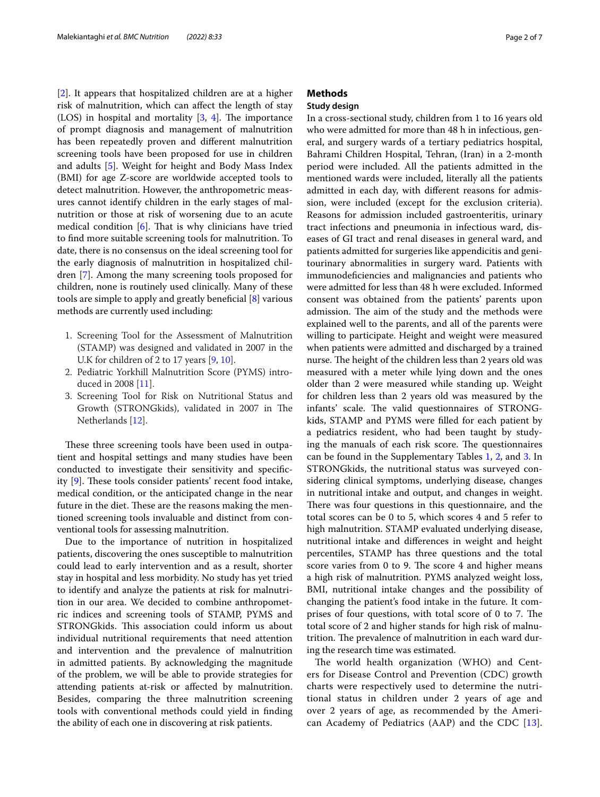[[2\]](#page-5-1). It appears that hospitalized children are at a higher risk of malnutrition, which can afect the length of stay (LOS) in hospital and mortality  $[3, 4]$  $[3, 4]$  $[3, 4]$ . The importance of prompt diagnosis and management of malnutrition has been repeatedly proven and diferent malnutrition screening tools have been proposed for use in children and adults [\[5\]](#page-5-4). Weight for height and Body Mass Index (BMI) for age Z-score are worldwide accepted tools to detect malnutrition. However, the anthropometric measures cannot identify children in the early stages of malnutrition or those at risk of worsening due to an acute medical condition  $[6]$ . That is why clinicians have tried to fnd more suitable screening tools for malnutrition. To date, there is no consensus on the ideal screening tool for the early diagnosis of malnutrition in hospitalized children [[7\]](#page-5-6). Among the many screening tools proposed for children, none is routinely used clinically. Many of these tools are simple to apply and greatly benefcial [\[8](#page-5-7)] various methods are currently used including:

- 1. Screening Tool for the Assessment of Malnutrition (STAMP) was designed and validated in 2007 in the U.K for children of 2 to 17 years [[9,](#page-6-0) [10\]](#page-6-1).
- 2. Pediatric Yorkhill Malnutrition Score (PYMS) introduced in 2008 [\[11](#page-6-2)].
- 3. Screening Tool for Risk on Nutritional Status and Growth (STRONGkids), validated in 2007 in The Netherlands [[12](#page-6-3)].

These three screening tools have been used in outpatient and hospital settings and many studies have been conducted to investigate their sensitivity and specifc-ity [\[9](#page-6-0)]. These tools consider patients' recent food intake, medical condition, or the anticipated change in the near future in the diet. These are the reasons making the mentioned screening tools invaluable and distinct from conventional tools for assessing malnutrition.

Due to the importance of nutrition in hospitalized patients, discovering the ones susceptible to malnutrition could lead to early intervention and as a result, shorter stay in hospital and less morbidity. No study has yet tried to identify and analyze the patients at risk for malnutrition in our area. We decided to combine anthropometric indices and screening tools of STAMP, PYMS and STRONGkids. This association could inform us about individual nutritional requirements that need attention and intervention and the prevalence of malnutrition in admitted patients. By acknowledging the magnitude of the problem, we will be able to provide strategies for attending patients at-risk or afected by malnutrition. Besides, comparing the three malnutrition screening tools with conventional methods could yield in fnding the ability of each one in discovering at risk patients.

# **Methods**

# **Study design**

In a cross-sectional study, children from 1 to 16 years old who were admitted for more than 48 h in infectious, general, and surgery wards of a tertiary pediatrics hospital, Bahrami Children Hospital, Tehran, (Iran) in a 2-month period were included. All the patients admitted in the mentioned wards were included, literally all the patients admitted in each day, with diferent reasons for admission, were included (except for the exclusion criteria). Reasons for admission included gastroenteritis, urinary tract infections and pneumonia in infectious ward, diseases of GI tract and renal diseases in general ward, and patients admitted for surgeries like appendicitis and genitourinary abnormalities in surgery ward. Patients with immunodefciencies and malignancies and patients who were admitted for less than 48 h were excluded. Informed consent was obtained from the patients' parents upon admission. The aim of the study and the methods were explained well to the parents, and all of the parents were willing to participate. Height and weight were measured when patients were admitted and discharged by a trained nurse. The height of the children less than 2 years old was measured with a meter while lying down and the ones older than 2 were measured while standing up. Weight for children less than 2 years old was measured by the infants' scale. The valid questionnaires of STRONGkids, STAMP and PYMS were flled for each patient by a pediatrics resident, who had been taught by studying the manuals of each risk score. The questionnaires can be found in the Supplementary Tables [1,](#page-5-8) [2,](#page-5-8) and [3.](#page-5-8) In STRONGkids, the nutritional status was surveyed considering clinical symptoms, underlying disease, changes in nutritional intake and output, and changes in weight. There was four questions in this questionnaire, and the total scores can be 0 to 5, which scores 4 and 5 refer to high malnutrition. STAMP evaluated underlying disease, nutritional intake and diferences in weight and height percentiles, STAMP has three questions and the total score varies from 0 to 9. The score 4 and higher means a high risk of malnutrition. PYMS analyzed weight loss, BMI, nutritional intake changes and the possibility of changing the patient's food intake in the future. It comprises of four questions, with total score of 0 to 7. The total score of 2 and higher stands for high risk of malnutrition. The prevalence of malnutrition in each ward during the research time was estimated.

The world health organization (WHO) and Centers for Disease Control and Prevention (CDC) growth charts were respectively used to determine the nutritional status in children under 2 years of age and over 2 years of age, as recommended by the American Academy of Pediatrics (AAP) and the CDC [[13\]](#page-6-4).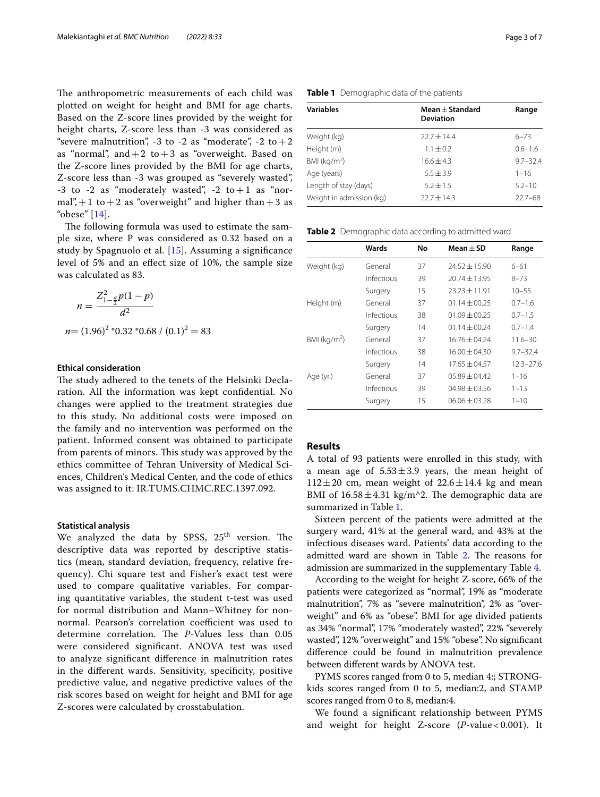The anthropometric measurements of each child was plotted on weight for height and BMI for age charts. Based on the Z-score lines provided by the weight for height charts, Z-score less than -3 was considered as "severe malnutrition", -3 to -2 as "moderate", -2 to +2 as "normal", and  $+2$  to  $+3$  as "overweight. Based on the Z-score lines provided by the BMI for age charts, Z-score less than -3 was grouped as "severely wasted",  $-3$  to  $-2$  as "moderately wasted",  $-2$  to  $+1$  as "normal", $+1$  to  $+2$  as "overweight" and higher than  $+3$  as "obese" [\[14](#page-6-5)].

The following formula was used to estimate the sample size, where P was considered as 0.32 based on a study by Spagnuolo et al. [[15\]](#page-6-6). Assuming a signifcance level of 5% and an efect size of 10%, the sample size was calculated as 83.

$$
n = \frac{Z_{1-\frac{a}{2}}^2 p(1-p)}{d^2}
$$

 $n = (1.96)^2$  \*0.32 \*0.68 /  $(0.1)^2 = 83$ 

# **Ethical consideration**

The study adhered to the tenets of the Helsinki Declaration. All the information was kept confdential. No changes were applied to the treatment strategies due to this study. No additional costs were imposed on the family and no intervention was performed on the patient. Informed consent was obtained to participate from parents of minors. This study was approved by the ethics committee of Tehran University of Medical Sciences, Children's Medical Center, and the code of ethics was assigned to it: IR.TUMS.CHMC.REC.1397.092.

## **Statistical analysis**

We analyzed the data by SPSS,  $25<sup>th</sup>$  version. The descriptive data was reported by descriptive statistics (mean, standard deviation, frequency, relative frequency). Chi square test and Fisher's exact test were used to compare qualitative variables. For comparing quantitative variables, the student t-test was used for normal distribution and Mann–Whitney for nonnormal. Pearson's correlation coefficient was used to determine correlation. The *P*-Values less than 0.05 were considered signifcant. ANOVA test was used to analyze signifcant diference in malnutrition rates in the diferent wards. Sensitivity, specifcity, positive predictive value, and negative predictive values of the risk scores based on weight for height and BMI for age Z-scores were calculated by crosstabulation.

<span id="page-2-0"></span>

|  | <b>Table 1</b> Demographic data of the patients |  |  |
|--|-------------------------------------------------|--|--|
|--|-------------------------------------------------|--|--|

| <b>Variables</b>         | Mean $\pm$ Standard<br><b>Deviation</b> | Range        |  |  |
|--------------------------|-----------------------------------------|--------------|--|--|
| Weight (kg)              | $22.7 + 14.4$                           | $6 - 73$     |  |  |
| Height (m)               | $1.1 \pm 0.2$                           | $0.6 - 1.6$  |  |  |
| BMI ( $kg/m2$ )          | $16.6 + 4.3$                            | $9.7 - 32.4$ |  |  |
| Age (years)              | $5.5 \pm 3.9$                           | $1 - 16$     |  |  |
| Length of stay (days)    | $5.2 + 1.5$                             | $5.2 - 10$   |  |  |
| Weight in admission (kg) | $22.7 + 14.3$                           | $22.7 - 68$  |  |  |

<span id="page-2-1"></span>**Table 2** Demographic data according to admitted ward

|                 | Wards      | No | $Mean + SD$       | Range         |
|-----------------|------------|----|-------------------|---------------|
| Weight (kg)     | General    | 37 | $74.57 + 15.90$   | $6 - 61$      |
|                 | Infectious | 39 | $20.74 \pm 13.95$ | $8 - 73$      |
|                 | Surgery    | 15 | $23.23 \pm 11.91$ | $10 - 55$     |
| Height (m)      | General    | 37 | $01.14 \pm 00.25$ | $0.7 - 1.6$   |
|                 | Infectious | 38 | $01.09 + 00.25$   | $0.7 - 1.5$   |
|                 | Surgery    | 14 | $01.14 \pm 00.24$ | $0.7 - 1.4$   |
| BMI ( $kg/m2$ ) | General    | 37 | $16.76 \pm 04.24$ | $11.6 - 30$   |
|                 | Infectious | 38 | $16.00 + 04.30$   | $9.7 - 32.4$  |
|                 | Surgery    | 14 | $17.65 + 04.57$   | $12.3 - 27.6$ |
| Age (yr.)       | General    | 37 | $05.89 + 04.42$   | $1 - 16$      |
|                 | Infectious | 39 | $04.98 + 03.56$   | $1 - 13$      |
|                 | Surgery    | 15 | $06.06 + 03.28$   | $1 - 10$      |

# **Results**

A total of 93 patients were enrolled in this study, with a mean age of  $5.53 \pm 3.9$  years, the mean height of  $112 \pm 20$  cm, mean weight of  $22.6 \pm 14.4$  kg and mean BMI of  $16.58 \pm 4.31$  kg/m<sup> $\wedge$ </sup>2. The demographic data are summarized in Table [1.](#page-2-0)

Sixteen percent of the patients were admitted at the surgery ward, 41% at the general ward, and 43% at the infectious diseases ward. Patients' data according to the admitted ward are shown in Table [2](#page-2-1). The reasons for admission are summarized in the supplementary Table [4](#page-5-8).

According to the weight for height Z-score, 66% of the patients were categorized as "normal", 19% as "moderate malnutrition", 7% as "severe malnutrition", 2% as "overweight" and 6% as "obese". BMI for age divided patients as 34% "normal", 17% "moderately wasted", 22% "severely wasted", 12% "overweight" and 15% "obese". No signifcant diference could be found in malnutrition prevalence between diferent wards by ANOVA test.

PYMS scores ranged from 0 to 5, median 4:; STRONGkids scores ranged from 0 to 5, median:2, and STAMP scores ranged from 0 to 8, median:4.

We found a signifcant relationship between PYMS and weight for height Z-score (*P*-value < 0.001). It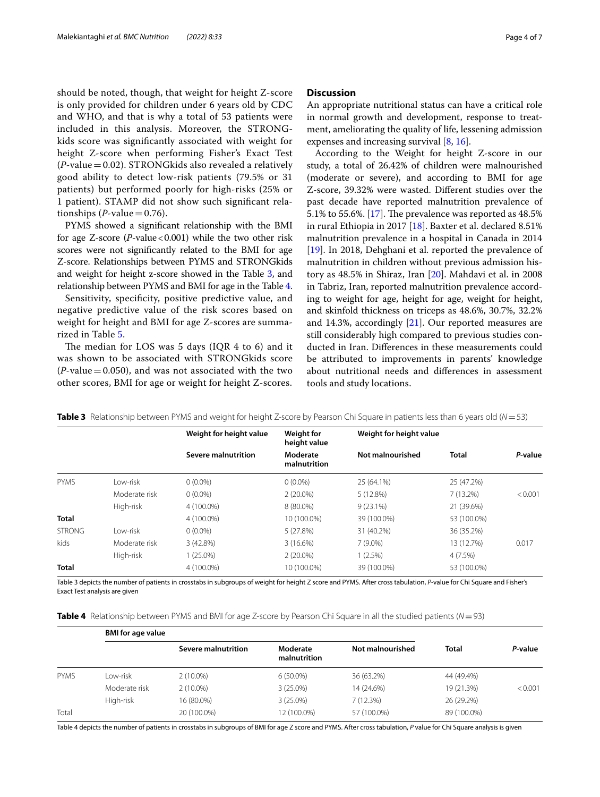should be noted, though, that weight for height Z-score is only provided for children under 6 years old by CDC and WHO, and that is why a total of 53 patients were included in this analysis. Moreover, the STRONGkids score was signifcantly associated with weight for height Z-score when performing Fisher's Exact Test  $(P$ -value = 0.02). STRONG kids also revealed a relatively good ability to detect low-risk patients (79.5% or 31 patients) but performed poorly for high-risks (25% or 1 patient). STAMP did not show such signifcant relationships  $(P$ -value = 0.76).

PYMS showed a signifcant relationship with the BMI for age Z-score (*P*-value<0.001) while the two other risk scores were not signifcantly related to the BMI for age Z-score. Relationships between PYMS and STRONGkids and weight for height z-score showed in the Table [3](#page-3-0), and relationship between PYMS and BMI for age in the Table [4](#page-3-1).

Sensitivity, specifcity, positive predictive value, and negative predictive value of the risk scores based on weight for height and BMI for age Z-scores are summarized in Table [5.](#page-4-0)

The median for LOS was  $5$  days (IQR  $4$  to  $6$ ) and it was shown to be associated with STRONGkids score  $(P$ -value = 0.050), and was not associated with the two other scores, BMI for age or weight for height Z-scores.

# **Discussion**

An appropriate nutritional status can have a critical role in normal growth and development, response to treatment, ameliorating the quality of life, lessening admission expenses and increasing survival [\[8,](#page-5-7) [16](#page-6-7)].

According to the Weight for height Z-score in our study, a total of 26.42% of children were malnourished (moderate or severe), and according to BMI for age Z-score, 39.32% were wasted. Diferent studies over the past decade have reported malnutrition prevalence of 5.1% to 55.6%. [[17\]](#page-6-8). The prevalence was reported as  $48.5%$ in rural Ethiopia in 2017 [\[18](#page-6-9)]. Baxter et al. declared 8.51% malnutrition prevalence in a hospital in Canada in 2014 [[19\]](#page-6-10). In 2018, Dehghani et al. reported the prevalence of malnutrition in children without previous admission history as 48.5% in Shiraz, Iran [[20\]](#page-6-11). Mahdavi et al. in 2008 in Tabriz, Iran, reported malnutrition prevalence according to weight for age, height for age, weight for height, and skinfold thickness on triceps as 48.6%, 30.7%, 32.2% and 14.3%, accordingly [\[21](#page-6-12)]. Our reported measures are still considerably high compared to previous studies conducted in Iran. Diferences in these measurements could be attributed to improvements in parents' knowledge about nutritional needs and diferences in assessment tools and study locations.

<span id="page-3-0"></span>

|  |  | Table 3 Relationship between PYMS and weight for height Z-score by Pearson Chi Square in patients less than 6 years old (N=53) |  |  |  |  |  |  |
|--|--|--------------------------------------------------------------------------------------------------------------------------------|--|--|--|--|--|--|
|--|--|--------------------------------------------------------------------------------------------------------------------------------|--|--|--|--|--|--|

|               |               | Weight for height value | <b>Weight for</b><br>height value | Weight for height value |             |         |
|---------------|---------------|-------------------------|-----------------------------------|-------------------------|-------------|---------|
|               |               | Severe malnutrition     | Moderate<br>malnutrition          | Not malnourished        | Total       | P-value |
| <b>PYMS</b>   | I ow-risk     | $0(0.0\%)$              | $0(0.0\%)$                        | 25 (64.1%)              | 25 (47.2%)  |         |
|               | Moderate risk | $0(0.0\%)$              | $2(20.0\%)$                       | 5(12.8%)                | $7(13.2\%)$ | < 0.001 |
|               | High-risk     | 4 (100.0%)              | 8 (80.0%)                         | $9(23.1\%)$             | 21 (39.6%)  |         |
| <b>Total</b>  |               | 4 (100.0%)              | 10 (100.0%)                       | 39 (100.0%)             | 53 (100.0%) |         |
| <b>STRONG</b> | I ow-risk     | $0(0.0\%)$              | 5(27.8%)                          | 31 (40.2%)              | 36 (35.2%)  |         |
| kids          | Moderate risk | 3(42.8%)                | 3(16.6%)                          | $7(9.0\%)$              | 13 (12.7%)  | 0.017   |
|               | High-risk     | $1(25.0\%)$             | $2(20.0\%)$                       | $1(2.5\%)$              | 4(7.5%)     |         |
| <b>Total</b>  |               | 4 (100.0%)              | 10 (100.0%)                       | 39 (100.0%)             | 53 (100.0%) |         |

Table 3 depicts the number of patients in crosstabs in subgroups of weight for height Z score and PYMS. After cross tabulation, *P*-value for Chi Square and Fisher's Exact Test analysis are given

<span id="page-3-1"></span>

| Table 4 Relationship between PYMS and BMI for age Z-score by Pearson Chi Square in all the studied patients (N=93) |  |
|--------------------------------------------------------------------------------------------------------------------|--|
|--------------------------------------------------------------------------------------------------------------------|--|

|             |               | <b>BMI</b> for age value |                          |                  |              |         |  |
|-------------|---------------|--------------------------|--------------------------|------------------|--------------|---------|--|
|             |               | Severe malnutrition      | Moderate<br>malnutrition | Not malnourished | <b>Total</b> | P-value |  |
| <b>PYMS</b> | l ow-risk     | $2(10.0\%)$              | $6(50.0\%)$              | 36 (63.2%)       | 44 (49.4%)   |         |  |
|             | Moderate risk | $2(10.0\%)$              | $3(25.0\%)$              | 14 (24.6%)       | 19 (21.3%)   | < 0.001 |  |
|             | High-risk     | 16 (80.0%)               | $3(25.0\%)$              | 7(12.3%)         | 26 (29.2%)   |         |  |
| Total       |               | 20 (100.0%)              | 12 (100.0%)              | 57 (100.0%)      | 89 (100.0%)  |         |  |

Table 4 depicts the number of patients in crosstabs in subgroups of BMI for age Z score and PYMS. After cross tabulation, *P* value for Chi Square analysis is given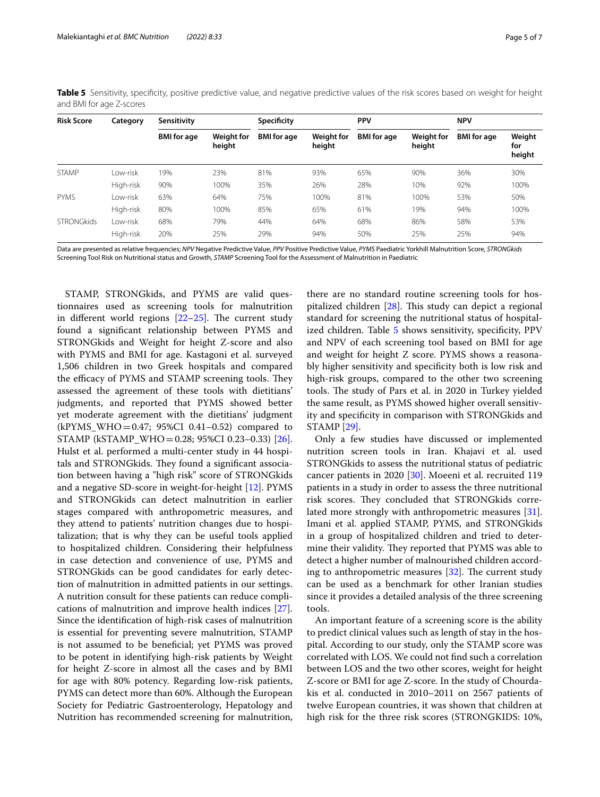| <b>Risk Score</b> | Category  | Sensitivity        |                             | <b>Specificity</b> |                             | <b>PPV</b>         |                             | <b>NPV</b>         |                         |
|-------------------|-----------|--------------------|-----------------------------|--------------------|-----------------------------|--------------------|-----------------------------|--------------------|-------------------------|
|                   |           | <b>BMI</b> for age | <b>Weight for</b><br>height | <b>BMI</b> for age | <b>Weight for</b><br>height | <b>BMI</b> for age | <b>Weight for</b><br>height | <b>BMI</b> for age | Weight<br>for<br>height |
| <b>STAMP</b>      | I ow-risk | 19%                | 23%                         | 81%                | 93%                         | 65%                | 90%                         | 36%                | 30%                     |
|                   | High-risk | 90%                | 100%                        | 35%                | 26%                         | 28%                | 10%                         | 92%                | 100%                    |
| <b>PYMS</b>       | I ow-risk | 63%                | 64%                         | 75%                | 100%                        | 81%                | 100%                        | 53%                | 50%                     |
|                   | High-risk | 80%                | 100%                        | 85%                | 65%                         | 61%                | 19%                         | 94%                | 100%                    |
| <b>STRONGkids</b> | Low-risk  | 68%                | 79%                         | 44%                | 64%                         | 68%                | 86%                         | 58%                | 53%                     |
|                   | High-risk | 20%                | 25%                         | 29%                | 94%                         | 50%                | 25%                         | 25%                | 94%                     |

<span id="page-4-0"></span>**Table 5** Sensitivity, specificity, positive predictive value, and negative predictive values of the risk scores based on weight for height and BMI for age Z-scores

Data are presented as relative frequencies; *NPV* Negative Predictive Value, *PPV* Positive Predictive Value, *PYMS* Paediatric Yorkhill Malnutrition Score, *STRONGkids* Screening Tool Risk on Nutritional status and Growth, *STAMP* Screening Tool for the Assessment of Malnutrition in Paediatric

STAMP, STRONGkids, and PYMS are valid questionnaires used as screening tools for malnutrition in different world regions  $[22-25]$  $[22-25]$  $[22-25]$ . The current study found a signifcant relationship between PYMS and STRONGkids and Weight for height Z-score and also with PYMS and BMI for age. Kastagoni et al. surveyed 1,506 children in two Greek hospitals and compared the efficacy of PYMS and STAMP screening tools. They assessed the agreement of these tools with dietitians' judgments, and reported that PYMS showed better yet moderate agreement with the dietitians' judgment  $(kPYMS_WHO = 0.47; 95%CI 0.41-0.52)$  compared to STAMP (kSTAMP\_WHO=0.28; 95%CI 0.23–0.33) [\[26](#page-6-15)]. Hulst et al. performed a multi-center study in 44 hospitals and STRONGkids. They found a significant association between having a "high risk" score of STRONGkids and a negative SD-score in weight-for-height [[12](#page-6-3)]. PYMS and STRONGkids can detect malnutrition in earlier stages compared with anthropometric measures, and they attend to patients' nutrition changes due to hospitalization; that is why they can be useful tools applied to hospitalized children. Considering their helpfulness in case detection and convenience of use, PYMS and STRONGkids can be good candidates for early detection of malnutrition in admitted patients in our settings. A nutrition consult for these patients can reduce complications of malnutrition and improve health indices [\[27](#page-6-16)]. Since the identifcation of high-risk cases of malnutrition is essential for preventing severe malnutrition, STAMP is not assumed to be benefcial; yet PYMS was proved to be potent in identifying high-risk patients by Weight for height Z-score in almost all the cases and by BMI for age with 80% potency. Regarding low-risk patients, PYMS can detect more than 60%. Although the European Society for Pediatric Gastroenterology, Hepatology and Nutrition has recommended screening for malnutrition,

there are no standard routine screening tools for hospitalized children  $[28]$  $[28]$ . This study can depict a regional standard for screening the nutritional status of hospital-ized children. Table [5](#page-4-0) shows sensitivity, specificity, PPV and NPV of each screening tool based on BMI for age and weight for height Z score. PYMS shows a reasonably higher sensitivity and specifcity both is low risk and high-risk groups, compared to the other two screening tools. The study of Pars et al. in 2020 in Turkey yielded the same result, as PYMS showed higher overall sensitivity and specifcity in comparison with STRONGkids and STAMP [[29\]](#page-6-18).

Only a few studies have discussed or implemented nutrition screen tools in Iran. Khajavi et al. used STRONGkids to assess the nutritional status of pediatric cancer patients in 2020 [\[30](#page-6-19)]. Moeeni et al. recruited 119 patients in a study in order to assess the three nutritional risk scores. They concluded that STRONGkids correlated more strongly with anthropometric measures [\[31](#page-6-20)]. Imani et al. applied STAMP, PYMS, and STRONGkids in a group of hospitalized children and tried to determine their validity. They reported that PYMS was able to detect a higher number of malnourished children according to anthropometric measures  $[32]$  $[32]$ . The current study can be used as a benchmark for other Iranian studies since it provides a detailed analysis of the three screening tools.

An important feature of a screening score is the ability to predict clinical values such as length of stay in the hospital. According to our study, only the STAMP score was correlated with LOS. We could not fnd such a correlation between LOS and the two other scores, weight for height Z-score or BMI for age Z-score. In the study of Chourdakis et al. conducted in 2010–2011 on 2567 patients of twelve European countries, it was shown that children at high risk for the three risk scores (STRONGKIDS: 10%,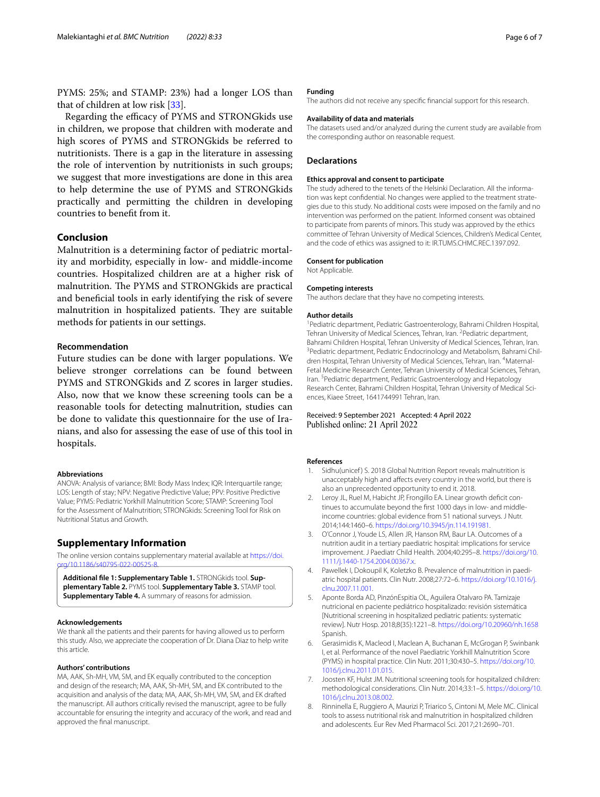PYMS: 25%; and STAMP: 23%) had a longer LOS than that of children at low risk [\[33](#page-6-22)].

Regarding the efficacy of PYMS and STRONGkids use in children, we propose that children with moderate and high scores of PYMS and STRONGkids be referred to nutritionists. There is a gap in the literature in assessing the role of intervention by nutritionists in such groups; we suggest that more investigations are done in this area to help determine the use of PYMS and STRONGkids practically and permitting the children in developing countries to beneft from it.

# **Conclusion**

Malnutrition is a determining factor of pediatric mortality and morbidity, especially in low- and middle-income countries. Hospitalized children are at a higher risk of malnutrition. The PYMS and STRONGkids are practical and benefcial tools in early identifying the risk of severe malnutrition in hospitalized patients. They are suitable methods for patients in our settings.

# **Recommendation**

Future studies can be done with larger populations. We believe stronger correlations can be found between PYMS and STRONGkids and Z scores in larger studies. Also, now that we know these screening tools can be a reasonable tools for detecting malnutrition, studies can be done to validate this questionnaire for the use of Iranians, and also for assessing the ease of use of this tool in hospitals.

#### **Abbreviations**

ANOVA: Analysis of variance; BMI: Body Mass Index; IQR: Interquartile range; LOS: Length of stay; NPV: Negative Predictive Value; PPV: Positive Predictive Value; PYMS: Pediatric Yorkhill Malnutrition Score; STAMP: Screening Tool for the Assessment of Malnutrition; STRONGkids: Screening Tool for Risk on Nutritional Status and Growth.

# **Supplementary Information**

The online version contains supplementary material available at [https://doi.](https://doi.org/10.1186/s40795-022-00525-8) org/10.1186/s40795-022-00525

<span id="page-5-8"></span>**Additional fle 1: Supplementary Table 1.** STRONGkids tool. **Supplementary Table 2.** PYMS tool. **Supplementary Table 3.** STAMP tool. **Supplementary Table 4.** A summary of reasons for admission.

#### **Acknowledgements**

We thank all the patients and their parents for having allowed us to perform this study. Also, we appreciate the cooperation of Dr. Diana Diaz to help write this article.

#### **Authors' contributions**

MA, AAK, Sh-MH, VM, SM, and EK equally contributed to the conception and design of the research; MA, AAK, Sh-MH, SM, and EK contributed to the acquisition and analysis of the data; MA, AAK, Sh-MH, VM, SM, and EK drafted the manuscript. All authors critically revised the manuscript, agree to be fully accountable for ensuring the integrity and accuracy of the work, and read and approved the fnal manuscript.

# **Funding**

The authors did not receive any specifc fnancial support for this research.

# **Availability of data and materials**

The datasets used and/or analyzed during the current study are available from the corresponding author on reasonable request.

## **Declarations**

#### **Ethics approval and consent to participate**

The study adhered to the tenets of the Helsinki Declaration. All the information was kept confidential. No changes were applied to the treatment strategies due to this study. No additional costs were imposed on the family and no intervention was performed on the patient. Informed consent was obtained to participate from parents of minors. This study was approved by the ethics committee of Tehran University of Medical Sciences, Children's Medical Center, and the code of ethics was assigned to it: IR.TUMS.CHMC.REC.1397.092.

# **Consent for publication**

Not Applicable.

#### **Competing interests**

The authors declare that they have no competing interests.

#### **Author details**

<sup>1</sup> Pediatric department, Pediatric Gastroenterology, Bahrami Children Hospital, Tehran University of Medical Sciences, Tehran, Iran. <sup>2</sup> Pediatric department, Bahrami Children Hospital, Tehran University of Medical Sciences, Tehran, Iran. <sup>3</sup> Pediatric department, Pediatric Endocrinology and Metabolism, Bahrami Children Hospital, Tehran University of Medical Sciences, Tehran, Iran. <sup>4</sup>Maternal-Fetal Medicine Research Center, Tehran University of Medical Sciences, Tehran, Iran.<sup>5</sup> Pediatric department, Pediatric Gastroenterology and Hepatology Research Center, Bahrami Children Hospital, Tehran University of Medical Sciences, Kiaee Street, 1641744991 Tehran, Iran.

## Received: 9 September 2021 Accepted: 4 April 2022 Published online: 21 April 2022

#### **References**

- <span id="page-5-0"></span>1. Sidhu(unicef) S. 2018 Global Nutrition Report reveals malnutrition is unacceptably high and afects every country in the world, but there is also an unprecedented opportunity to end it. 2018.
- <span id="page-5-1"></span>2. Leroy JL, Ruel M, Habicht JP, Frongillo EA. Linear growth deficit continues to accumulate beyond the frst 1000 days in low- and middleincome countries: global evidence from 51 national surveys. J Nutr. 2014;144:1460–6. [https://doi.org/10.3945/jn.114.191981.](https://doi.org/10.3945/jn.114.191981)
- <span id="page-5-2"></span>3. O'Connor J, Youde LS, Allen JR, Hanson RM, Baur LA. Outcomes of a nutrition audit in a tertiary paediatric hospital: implications for service improvement. J Paediatr Child Health. 2004;40:295–8. [https://doi.org/10.](https://doi.org/10.1111/j.1440-1754.2004.00367.x) [1111/j.1440-1754.2004.00367.x](https://doi.org/10.1111/j.1440-1754.2004.00367.x).
- <span id="page-5-3"></span>4. Pawellek I, Dokoupil K, Koletzko B. Prevalence of malnutrition in paediatric hospital patients. Clin Nutr. 2008;27:72–6. [https://doi.org/10.1016/j.](https://doi.org/10.1016/j.clnu.2007.11.001) [clnu.2007.11.001](https://doi.org/10.1016/j.clnu.2007.11.001).
- <span id="page-5-4"></span>5. Aponte Borda AD, PinzónEspitia OL, Aguilera Otalvaro PA. Tamizaje nutricional en paciente pediátrico hospitalizado: revisión sistemática [Nutritional screening in hospitalized pediatric patients: systematic review]. Nutr Hosp. 2018;8(35):1221–8.<https://doi.org/10.20960/nh.1658> Spanish.
- <span id="page-5-5"></span>6. Gerasimidis K, Macleod I, Maclean A, Buchanan E, McGrogan P, Swinbank I, et al. Performance of the novel Paediatric Yorkhill Malnutrition Score (PYMS) in hospital practice. Clin Nutr. 2011;30:430–5. [https://doi.org/10.](https://doi.org/10.1016/j.clnu.2011.01.015) [1016/j.clnu.2011.01.015.](https://doi.org/10.1016/j.clnu.2011.01.015)
- <span id="page-5-6"></span>Joosten KF, Hulst JM. Nutritional screening tools for hospitalized children: methodological considerations. Clin Nutr. 2014;33:1–5. [https://doi.org/10.](https://doi.org/10.1016/j.clnu.2013.08.002) [1016/j.clnu.2013.08.002.](https://doi.org/10.1016/j.clnu.2013.08.002)
- <span id="page-5-7"></span>8. Rinninella E, Ruggiero A, Maurizi P, Triarico S, Cintoni M, Mele MC. Clinical tools to assess nutritional risk and malnutrition in hospitalized children and adolescents. Eur Rev Med Pharmacol Sci. 2017;21:2690–701.